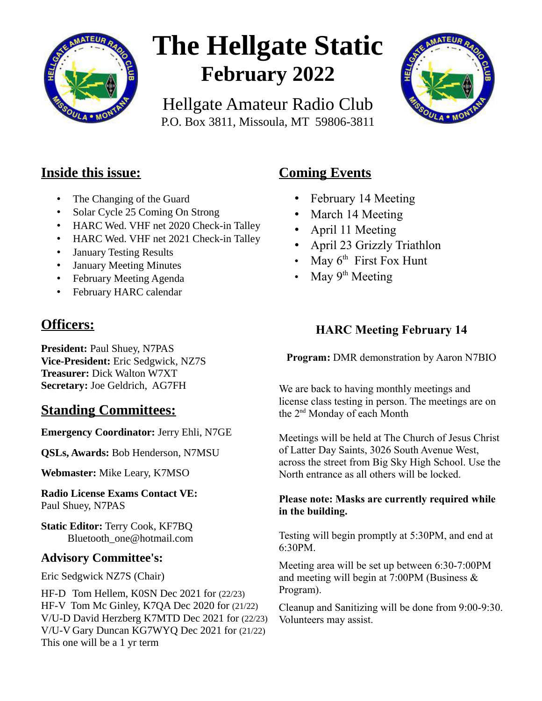

# **The Hellgate Static February 2022**

Hellgate Amateur Radio Club P.O. Box 3811, Missoula, MT 59806-3811



## **Inside this issue:**

- The Changing of the Guard
- Solar Cycle 25 Coming On Strong
- HARC Wed. VHF net 2020 Check-in Talley
- HARC Wed. VHF net 2021 Check-in Talley
- January Testing Results
- January Meeting Minutes
- February Meeting Agenda
- February HARC calendar

## **Officers:**

**President:** Paul Shuey, N7PAS **Vice-President:** Eric Sedgwick, NZ7S **Treasurer:** Dick Walton W7XT **Secretary:** Joe Geldrich, AG7FH

## **Standing Committees:**

**Emergency Coordinator:** Jerry Ehli, N7GE

**QSLs, Awards:** Bob Henderson, N7MSU

**Webmaster:** Mike Leary, K7MSO

**Radio License Exams Contact VE:** Paul Shuey, N7PAS

**Static Editor:** Terry Cook, KF7BQ Bluetooth\_one@hotmail.com

#### **Advisory Committee's:**

Eric Sedgwick NZ7S (Chair)

HF-D Tom Hellem, K0SN Dec 2021 for (22/23) HF-V Tom Mc Ginley, K7QA Dec 2020 for (21/22) V/U-D David Herzberg K7MTD Dec 2021 for (22/23) V/U-V Gary Duncan KG7WYQ Dec 2021 for (21/22) This one will be a 1 yr term

## **Coming Events**

- February 14 Meeting
- March 14 Meeting
- April 11 Meeting
- April 23 Grizzly Triathlon
- May  $6<sup>th</sup>$  First Fox Hunt
- May 9<sup>th</sup> Meeting

## **HARC Meeting February 14**

**Program:** DMR demonstration by Aaron N7BIO

We are back to having monthly meetings and license class testing in person. The meetings are on the 2nd Monday of each Month

Meetings will be held at The Church of Jesus Christ of Latter Day Saints, 3026 South Avenue West, across the street from Big Sky High School. Use the North entrance as all others will be locked.

#### **Please note: Masks are currently required while in the building.**

Testing will begin promptly at 5:30PM, and end at 6:30PM.

Meeting area will be set up between 6:30-7:00PM and meeting will begin at 7:00PM (Business & Program).

Cleanup and Sanitizing will be done from 9:00-9:30. Volunteers may assist.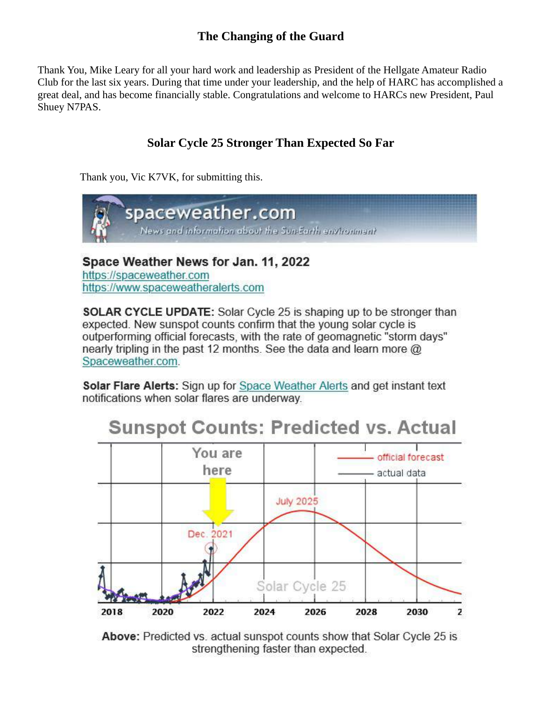### **The Changing of the Guard**

Thank You, Mike Leary for all your hard work and leadership as President of the Hellgate Amateur Radio Club for the last six years. During that time under your leadership, and the help of HARC has accomplished a great deal, and has become financially stable. Congratulations and welcome to HARCs new President, Paul Shuey N7PAS.

## **Solar Cycle 25 Stronger Than Expected So Far**

Thank you, Vic K7VK, for submitting this.



Space Weather News for Jan. 11, 2022 https://spaceweather.com https://www.spaceweatheralerts.com

**SOLAR CYCLE UPDATE:** Solar Cycle 25 is shaping up to be stronger than expected. New sunspot counts confirm that the young solar cycle is outperforming official forecasts, with the rate of geomagnetic "storm days" nearly tripling in the past 12 months. See the data and learn more @ Spaceweather.com.

**Solar Flare Alerts:** Sign up for Space Weather Alerts and get instant text notifications when solar flares are underway.



#### **Above:** Predicted vs. actual sunspot counts show that Solar Cycle 25 is strengthening faster than expected.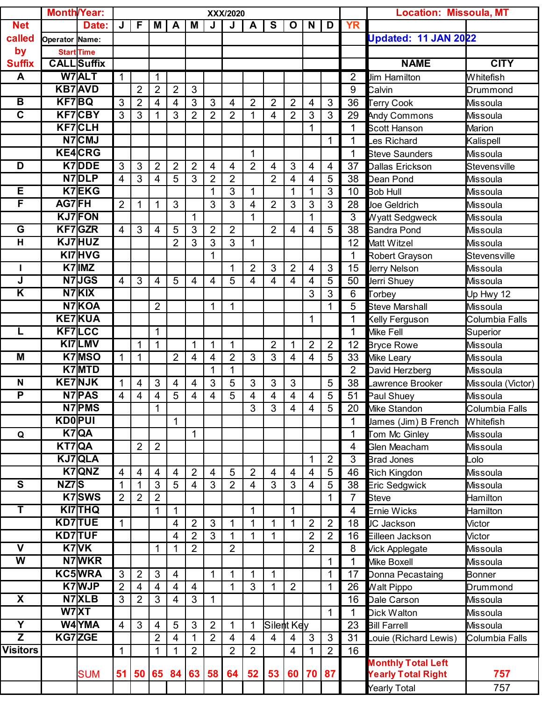|                         | <b>Month/Year:</b> |                    | XXX/2020       |                          |                |                          |                |                          |                |                |                |                         | <b>Location: Missoula, MT</b> |                      |                |                           |                   |
|-------------------------|--------------------|--------------------|----------------|--------------------------|----------------|--------------------------|----------------|--------------------------|----------------|----------------|----------------|-------------------------|-------------------------------|----------------------|----------------|---------------------------|-------------------|
| <b>Net</b>              |                    | Date:              | J              | F                        | М              | A                        | M              | J                        | J              | A              | S              | $\mathbf O$             | N                             | D                    | <b>YR</b>      |                           |                   |
| called                  | Operator Name:     |                    |                |                          |                |                          |                |                          |                |                |                |                         |                               | Updated: 11 JAN 2022 |                |                           |                   |
| by                      |                    | <b>Start Time</b>  |                |                          |                |                          |                |                          |                |                |                |                         |                               |                      |                |                           |                   |
| <b>Suffix</b>           |                    | <b>CALL</b> Suffix |                |                          |                |                          |                |                          |                |                |                |                         |                               |                      |                | <b>NAME</b>               | <b>CITY</b>       |
| A                       |                    | W7ALT              | $\mathbf{1}$   |                          | $\mathbf 1$    |                          |                |                          |                |                |                |                         |                               |                      | $\overline{2}$ | <b>Jim Hamilton</b>       | Whitefish         |
|                         |                    | <b>KB7AVD</b>      |                | $\overline{2}$           | $\overline{2}$ | $\overline{2}$           | $\mathbf{3}$   |                          |                |                |                |                         |                               |                      | 9              | Calvin                    | Drummond          |
| B                       | <b>KF7BQ</b>       |                    | 3              | $\overline{2}$           | 4              | $\overline{\mathbf{4}}$  | 3              | 3                        | 4              | $\overline{2}$ | $\overline{2}$ | $\overline{2}$          | $\overline{4}$                | 3                    | 36             | <b>Terry Cook</b>         | Missoula          |
| $\overline{\mathsf{c}}$ |                    | <b>KF7CBY</b>      | 3              | 3                        |                | 3                        | $\overline{2}$ | $\overline{2}$           | $\overline{2}$ | 1              | 4              | $\overline{2}$          | 3                             | 3                    | 29             | <b>Andy Commons</b>       | Missoula          |
|                         |                    | <b>KF7CLH</b>      |                |                          |                |                          |                |                          |                |                |                |                         | $\mathbf{1}$                  |                      | 1              | <b>Scott Hanson</b>       | Marion            |
|                         |                    | N7CMJ              |                |                          |                |                          |                |                          |                |                |                |                         |                               | 1                    | 1              | es Richard                | Kalispell         |
|                         |                    | <b>KE4CRG</b>      |                |                          |                |                          |                |                          |                | 1              |                |                         |                               |                      | 1              | <b>Steve Saunders</b>     | Missoula          |
| D                       |                    | K7DDE              | 3              | 3                        | $\overline{2}$ | $\overline{2}$           | $\overline{2}$ | $\overline{\mathcal{A}}$ | 4              | $\overline{2}$ | 4              | 3                       | $\overline{4}$                | 4                    | 37             | Dallas Erickson           | Stevensville      |
|                         |                    | N7DLP              | 4              | 3                        | 4              | 5                        | $\mathfrak{S}$ | $\overline{2}$           | $\overline{2}$ |                | $\overline{2}$ | 4                       | 4                             | 5                    | 38             | Dean Pond                 | <b>Missoula</b>   |
| Е                       |                    | <b>K7EKG</b>       |                |                          |                |                          |                | 1                        | $\overline{3}$ | 1              |                | 1                       | $\mathbf 1$                   | 3                    | 10             | <b>Bob Hull</b>           | Missoula          |
| F                       | AG7FH              |                    | $\overline{2}$ | 1                        | 1              | 3                        |                | 3                        | 3              | 4              | $\overline{2}$ | 3                       | 3                             | 3                    | 28             | <b>Joe Geldrich</b>       | Missoula          |
|                         |                    | <b>KJ7FON</b>      |                |                          |                |                          | 1              |                          |                | 1              |                |                         | $\mathbf{1}$                  |                      | 3              | <b>Wyatt Sedgweck</b>     | <b>Missoula</b>   |
| G                       |                    | KF7GZR             | 4              | 3                        | 4              | 5                        | $\mathbf{3}$   | $\overline{2}$           | $\overline{2}$ |                | $\overline{2}$ | $\overline{4}$          | $\overline{4}$                | 5                    | 38             | Sandra Pond               | Missoula          |
| H                       |                    | KJ7HUZ             |                |                          |                | $\overline{2}$           | 3              | 3                        | $\overline{3}$ | 1              |                |                         |                               |                      | 12             | Matt Witzel               | <b>Missoula</b>   |
|                         |                    | KI7HVG             |                |                          |                |                          |                | 1                        |                |                |                |                         |                               |                      | 1              | <b>Robert Grayson</b>     | Stevensville      |
| L                       |                    | K7 IMZ             |                |                          |                |                          |                |                          | 1              | $\overline{2}$ | 3              | $\overline{2}$          | $\overline{4}$                | 3                    | 15             | <b>Jerry Nelson</b>       | Missoula          |
| J                       |                    | N7JGS              | 4              | 3                        | 4              | 5                        | $\overline{4}$ | 4                        | 5              | 4              | 4              | 4                       | 4                             | 5                    | 50             | Jerri Shuey               | Missoula          |
| Κ                       |                    | N7KIX              |                |                          |                |                          |                |                          |                |                |                |                         | 3                             | $\overline{3}$       | 6              | Torbey                    | Up Hwy 12         |
|                         |                    | N7KOA              |                |                          | $\overline{2}$ |                          |                | 1                        | 1              |                |                |                         |                               | 1                    | 5              | <b>Steve Marshall</b>     | <b>Missoula</b>   |
|                         |                    | <b>KE7KUA</b>      |                |                          |                |                          |                |                          |                |                |                |                         | $\mathbf{1}$                  |                      | 1              | Kelly Ferguson            | Columbia Falls    |
| L                       |                    | <b>KF7LCC</b>      |                |                          | $\mathbf{1}$   |                          |                |                          |                |                |                |                         |                               |                      | 1              | Mike Fell                 | Superior          |
|                         |                    | KI7LMV             |                | 1                        | 1              |                          | 1              | 1                        | 1              |                | $\overline{2}$ | 1                       | $\overline{2}$                | $\overline{2}$       | 12             | <b>Bryce Rowe</b>         | Missoula          |
| M                       |                    | <b>K7MSO</b>       | $\mathbf{1}$   | $\mathbf{1}$             |                | $\overline{2}$           | $\overline{4}$ | $\overline{4}$           | $\overline{2}$ | 3              | $\overline{3}$ | $\overline{\mathbf{4}}$ | $\overline{4}$                | 5                    | 33             | <b>Mike Leary</b>         | Missoula          |
|                         |                    | K7MTD              |                |                          |                |                          |                | 1                        | 1              |                |                |                         |                               |                      | $\overline{2}$ | David Herzberg            | <b>Missoula</b>   |
| N                       |                    | <b>KE7NJK</b>      | 1              | $\overline{4}$           | 3              | 4                        | $\overline{4}$ | 3                        | 5              | 3              | 3              | 3                       |                               | 5                    | 38             | Lawrence Brooker          | Missoula (Victor) |
| $\overline{\mathsf{P}}$ |                    | <b>N7PAS</b>       | 4              | $\overline{\mathcal{A}}$ | 4              | 5                        | 4              | 4                        | 5              | 4              | 4              | 4                       | $\overline{\mathcal{A}}$      | 5                    | 51             | Paul Shuey                | Missoula          |
|                         |                    | N7 PMS             |                |                          | 1              |                          |                |                          |                | 3              | 3              | 4                       | 4                             | $5\phantom{.0}$      | 20             | <b>Mike Standon</b>       | Columbia Falls    |
|                         | <b>KDOPUI</b>      |                    |                |                          |                | $\mathbf{1}$             |                |                          |                |                |                |                         |                               |                      |                | James (Jim) B French      | <b>Whitefish</b>  |
| Q                       |                    | $K7$ QA            |                |                          |                |                          | 1              |                          |                |                |                |                         |                               |                      | 1              | Tom Mc Ginley             | <b>Missoula</b>   |
|                         | KT7QA              |                    |                | $\overline{2}$           | $\overline{2}$ |                          |                |                          |                |                |                |                         |                               |                      | $\overline{4}$ | <b>Glen Meacham</b>       | <b>Missoula</b>   |
|                         |                    | KJ7QLA             |                |                          |                |                          |                |                          |                |                |                |                         | $\mathbf{1}$                  | $\overline{2}$       | 3              | <b>Brad Jones</b>         | Lolo              |
|                         |                    | K7QNZ              | $\overline{4}$ | $\overline{4}$           | 4              | 4                        | $\overline{2}$ | 4                        | 5              | $\overline{2}$ | 4              | 4                       | $\overline{4}$                | 5                    | 46             | <b>Rich Kingdon</b>       | <b>Missoula</b>   |
| $\overline{\mathbf{s}}$ | NZ7S               |                    | 1              | $\mathbf{1}$             | 3              | 5                        | $\overline{4}$ | 3                        | $\overline{2}$ | $\overline{4}$ | 3              | 3                       | $\overline{4}$                | 5                    | 38             | <b>Eric Sedgwick</b>      | Missoula          |
|                         |                    | K7SWS              | $\overline{2}$ | $\overline{2}$           | $\overline{2}$ |                          |                |                          |                |                |                |                         |                               | 1                    | $\overline{7}$ | <b>Steve</b>              | Hamilton          |
| T                       |                    | <b>KI7THQ</b>      |                |                          | 1              | $\mathbf 1$              |                |                          |                | 1              |                | 1                       |                               |                      | $\overline{4}$ | <b>Ernie Wicks</b>        | Hamilton          |
|                         |                    | <b>KD7TUE</b>      | $\mathbf{1}$   |                          |                | $\overline{\mathcal{A}}$ | $\overline{2}$ | $\mathfrak{S}$           | 1              | 1              | 1              | 1                       | $\overline{2}$                | $\overline{2}$       | 18             | JC Jackson                | Victor            |
|                         |                    | <b>KD7TUF</b>      |                |                          |                | $\overline{\mathcal{A}}$ | $\overline{2}$ | $\mathbf{3}$             | 1              | 1              | 1              |                         | $\overline{2}$                | $\overline{2}$       | 16             | Eilleen Jackson           | Victor            |
| $\mathbf v$             |                    | K7VK               |                |                          | 1              | 1                        | $\overline{2}$ |                          | $\overline{2}$ |                |                |                         | $\overline{2}$                |                      | 8              | Vick Applegate            | Missoula          |
| W                       |                    | N7WKR              |                |                          |                |                          |                |                          |                |                |                |                         |                               | 1                    |                | Mike Boxell               | <b>Missoula</b>   |
|                         |                    | <b>KC5WRA</b>      | 3              | $\overline{2}$           | $\mathfrak{S}$ | $\overline{\mathcal{A}}$ |                | 1                        | 1              | 1              | 1              |                         |                               | $\mathbf 1$          | 17             | Donna Pecastaing          | Bonner            |
|                         |                    | <b>K7WJP</b>       | $\overline{2}$ | $\overline{4}$           | 4              | $\overline{\mathcal{A}}$ | $\overline{4}$ |                          | 1              | 3              | 1              | $\overline{2}$          |                               | $\mathbf 1$          | 26             | <b>Walt Pippo</b>         | Drummond          |
| X                       |                    | N7XLB              | 3              | $\overline{2}$           | 3              | $\overline{\mathcal{A}}$ | $\mathfrak{S}$ | $\mathbf{1}$             |                |                |                |                         |                               |                      | 16             | Dale Carson               | Missoula          |
|                         |                    | W7XT               |                |                          |                |                          |                |                          |                |                |                |                         |                               | $\mathbf{1}$         | 1              | <b>Dick Walton</b>        | Missoula          |
| $\overline{\mathsf{Y}}$ |                    | <b>W4YMA</b>       | $\overline{4}$ | 3                        | 4              | 5                        | 3              | $\overline{2}$           | 1              |                | Silent Key     |                         |                               |                      | 23             | <b>Bill Farrell</b>       | <b>Missoula</b>   |
| $\overline{z}$          |                    | KG7ZGE             |                |                          | $\overline{2}$ | $\overline{\mathbf{4}}$  | 1              | $\overline{2}$           | 4              | $\overline{4}$ | $\overline{4}$ | 4                       | 3                             | $\mathbf{3}$         | 31             | Louie (Richard Lewis)     | Columbia Falls    |
| <b>Visitors</b>         |                    |                    | $\mathbf 1$    |                          | 1              | 1                        | $\overline{2}$ |                          | $\overline{2}$ | $\overline{2}$ |                | 4                       | 1                             | $\overline{2}$       | 16             |                           |                   |
|                         |                    |                    |                |                          |                |                          |                |                          |                |                |                |                         |                               |                      |                | <b>Monthly Total Left</b> |                   |
|                         |                    | <b>SUM</b>         | 51             |                          | 50 65          | 84                       | 63             | 58                       | 64             | 52             | 53             | 60                      | <b>70</b>                     | 87                   |                | <b>Yearly Total Right</b> | 757               |
|                         |                    |                    |                |                          |                |                          |                |                          |                |                |                |                         |                               |                      |                | <b>Yearly Total</b>       | 757               |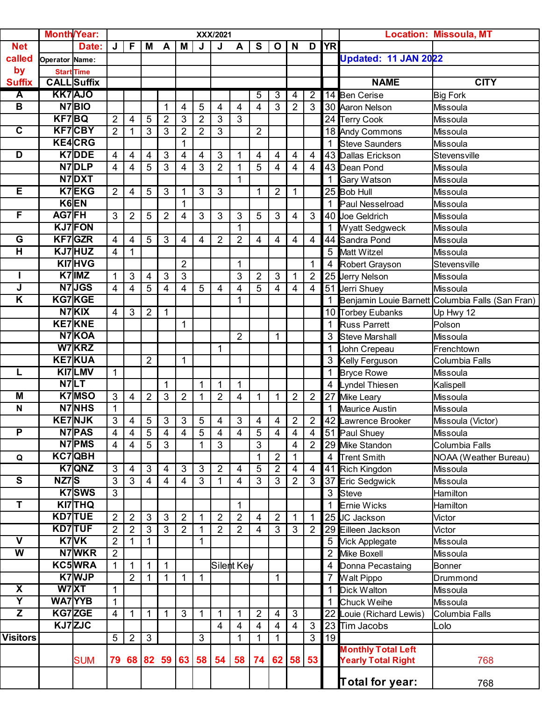|                         |                | <b>Month/Year:</b> |                |                |                |                |                |                |                |                |                |                |                |                |                 |                           |                                                    |
|-------------------------|----------------|--------------------|----------------|----------------|----------------|----------------|----------------|----------------|----------------|----------------|----------------|----------------|----------------|----------------|-----------------|---------------------------|----------------------------------------------------|
|                         |                |                    |                |                |                |                |                |                | XXX/2021       |                |                |                |                |                |                 |                           | <b>Location: Missoula, MT</b>                      |
| <b>Net</b>              |                | Date:              | J              | F              | Μ              | A              | M              | J              | J              | A              | S              | $\mathbf O$    | $\mathbf N$    | D              | <b>YR</b>       |                           |                                                    |
| called                  | Operator Name: |                    |                |                |                |                |                |                |                |                |                |                |                |                |                 | Updated: 11 JAN 2022      |                                                    |
| by                      |                | <b>Start Time</b>  |                |                |                |                |                |                |                |                |                |                |                |                |                 |                           |                                                    |
| <b>Suffix</b>           |                | <b>CALL</b> Suffix |                |                |                |                |                |                |                |                |                |                |                |                |                 | <b>NAME</b>               | <b>CITY</b>                                        |
| $\overline{\mathbf{A}}$ |                | <b>KK7AJO</b>      |                |                |                |                |                |                |                |                | 5              | $\overline{3}$ | 4              | 2              |                 | 14 Ben Cerise             | <b>Big Fork</b>                                    |
| $\overline{B}$          |                | N7BIO              |                |                |                |                | 4              | 5              | 4              | 4              | 4              | 3              | $\overline{2}$ | 3              |                 | 30 Aaron Nelson           | <b>Missoula</b>                                    |
|                         | <b>KF7BQ</b>   |                    | $\overline{2}$ | $\overline{4}$ | 5              | $\overline{2}$ | 3              | $\overline{2}$ | 3              | $\overline{3}$ |                |                |                |                |                 | 24 Terry Cook             | Missoula                                           |
| $\overline{\mathbf{c}}$ |                | <b>KF7CBY</b>      | $\overline{2}$ | $\mathbf 1$    | 3              | 3              | $\overline{2}$ | $\overline{2}$ | 3              |                | $\overline{2}$ |                |                |                |                 | 18 Andy Commons           | <b>Missoula</b>                                    |
|                         |                | <b>KE4CRG</b>      |                |                |                |                | 1              |                |                |                |                |                |                |                |                 | <b>Steve Saunders</b>     | Missoula                                           |
| D                       |                | K7DDE              | 4              | 4              | 4              | 3              | 4              | 4              | 3              | 1              | 4              | 4              | 4              | 4              |                 | 43 Dallas Erickson        | Stevensville                                       |
|                         |                | N7DLP              | 4              | 4              | 5              | 3              | 4              | 3              | $\overline{2}$ | $\mathbf{1}$   | 5              | 4              | $\overline{4}$ | 4              |                 | 43 Dean Pond              | <b>Missoula</b>                                    |
|                         |                | N7DXT              |                |                |                |                |                |                |                | $\mathbf{1}$   |                |                |                |                |                 | Gary Watson               | <b>Missoula</b>                                    |
| E                       |                | K7EKG              | $\overline{2}$ | 4              | 5              | 3              | 1              | 3              | 3              |                |                | $\overline{2}$ | 1              |                |                 | 25 Bob Hull               | <b>Missoula</b>                                    |
|                         |                | K6EN               |                |                |                |                | 1              |                |                |                |                |                |                |                |                 | Paul Nesselroad           | <b>Missoula</b>                                    |
| F                       | AG7FH          |                    | 3              | $\overline{2}$ | 5              | $\overline{2}$ | 4              | 3              | 3              | 3              | 5              | 3              | 4              | 3              |                 | 40 Joe Geldrich           | Missoula                                           |
|                         |                | <b>KJ7FON</b>      |                |                |                |                |                |                |                | $\mathbf{1}$   |                |                |                |                |                 | <b>Wyatt Sedgweck</b>     | <b>Missoula</b>                                    |
| $\overline{G}$          |                | <b>KF7GZR</b>      |                | 4              | 5              | 3              | 4              |                | $\overline{2}$ | $\overline{2}$ | 4              | 4              | 4              | 4              | 44              | Sandra Pond               | <b>Missoula</b>                                    |
| H                       |                | KJ7HUZ             | 4              |                |                |                |                | 4              |                |                |                |                |                |                |                 | 5 Matt Witzel             |                                                    |
|                         |                | KI7HVG             | 4              | $\mathbf 1$    |                |                |                |                |                |                |                |                |                |                |                 |                           | Missoula                                           |
|                         |                |                    |                |                |                |                | $\overline{2}$ |                |                | 1              |                |                |                | 1              | $\overline{4}$  | Robert Grayson            | Stevensville                                       |
|                         |                | $K7$  IMZ          | 1              | 3              | 4              | 3              | 3              |                |                | 3              | $\overline{2}$ | 3              | 1              | $\overline{2}$ |                 | 25 Jerry Nelson           | Missoula                                           |
| J                       |                | N7JGS              | 4              | 4              | 5              | 4              | 4              | 5              | 4              | 4              | 5              | 4              | 4              | 4              | 51              | Jerri Shuey               | <b>Missoula</b>                                    |
| Κ                       |                | KG7KGE             |                |                |                |                |                |                |                | $\mathbf{1}$   |                |                |                |                |                 |                           | 1 Benjamin Louie Barnett Columbia Falls (San Fran) |
|                         |                | $N7$ KIX           | $\overline{4}$ | $\mathbf{3}$   | $\overline{2}$ | 1              |                |                |                |                |                |                |                |                |                 | 10 Torbey Eubanks         | Up Hwy 12                                          |
|                         |                | <b>KE7KNE</b>      |                |                |                |                | 1              |                |                |                |                |                |                |                |                 | <b>Russ Parrett</b>       | Polson                                             |
|                         |                | N7KOA              |                |                |                |                |                |                |                | $\overline{2}$ |                | 1              |                |                | 3               | <b>Steve Marshall</b>     | <b>Missoula</b>                                    |
|                         |                | W7KRZ              |                |                |                |                |                |                | 1              |                |                |                |                |                | $\mathbf 1$     | John Crepeau              | Frenchtown                                         |
|                         |                | <b>KE7KUA</b>      |                |                | $\overline{2}$ |                | $\overline{1}$ |                |                |                |                |                |                |                |                 | <b>Kelly Ferguson</b>     | Columbia Falls                                     |
| L                       |                | KI7LMV             | $\mathbf{1}$   |                |                |                |                |                |                |                |                |                |                |                |                 | <b>Bryce Rowe</b>         | <b>Missoula</b>                                    |
|                         |                | N7LT               |                |                |                | 1              |                | 1              | $\mathbf{1}$   | $\mathbf{1}$   |                |                |                |                | 4               | <b>Lyndel Thiesen</b>     | Kalispell                                          |
| M                       |                | K7MSO              | 3              | 4              | $\overline{2}$ | 3              | $\overline{2}$ | 1              | $\overline{2}$ | 4              | 1              | $\mathbf 1$    | $\overline{2}$ | $\overline{2}$ |                 | 27 Mike Leary             | <b>Missoula</b>                                    |
| N                       |                | <b>N7NHS</b>       | 1              |                |                |                |                |                |                |                |                |                |                |                |                 | <b>Maurice Austin</b>     | <b>Missoula</b>                                    |
|                         |                | <b>KE7NJK</b>      | 3              | $\overline{4}$ | $\overline{5}$ | 3              | 3              | 5              | 4              | 3              | 4              | $\overline{4}$ | 2              | $\overline{2}$ |                 | 42 Lawrence Brooker       | Missoula (Victor)                                  |
| $\overline{P}$          |                | N7PAS              | 4              | $\overline{4}$ | $\overline{5}$ | 4              | 4              | 5              | 4              | $\overline{4}$ | 5              | $\overline{4}$ | 4              | $\overline{4}$ |                 | 51 Paul Shuey             | <b>Missoula</b>                                    |
|                         |                | N7PMS              | $\overline{4}$ | $\overline{4}$ | 5              | $\overline{3}$ |                |                | 3              |                | 3              |                | 4              | $\overline{2}$ |                 | 29 Mike Standon           | Columbia Falls                                     |
| Q                       |                | KC7QBH             |                |                |                |                |                |                |                |                | 1              | $\mathbf{2}$   | 1              |                | 4               | <b>Trent Smith</b>        | NOAA (Weather Bureau)                              |
|                         |                | K7QNZ              | 3              | 4              | $\mathbf{3}$   | 4              | 3              | 3              | $\overline{2}$ | 4              | 5              | $\overline{2}$ | 4              | 4              |                 | 41 Rich Kingdon           | Missoula                                           |
| S                       | NZ7S           |                    | 3              | $\overline{3}$ | $\overline{4}$ | 4              | 4              | 3              | 1              | 4              | 3              | 3              | $\overline{2}$ | $\mathbf{3}$   |                 | 37 Eric Sedgwick          | <b>Missoula</b>                                    |
|                         |                | K7SWS              | 3              |                |                |                |                |                |                |                |                |                |                |                |                 | 3 Steve                   | Hamilton                                           |
| T                       |                | KI7THQ             |                |                |                |                |                |                |                | 1              |                |                |                |                |                 | <b>Ernie Wicks</b>        | Hamilton                                           |
|                         |                | KD7TUE             | $\overline{2}$ | $\overline{2}$ | 3              | 3              | $\overline{2}$ |                | $\overline{2}$ | $\overline{2}$ | 4              | $\overline{2}$ | 1              | 1              | 25 <sub>l</sub> | JC Jackson                | Victor                                             |
|                         |                | <b>KD7TUF</b>      | $\overline{2}$ | $\overline{2}$ | $\mathbf{3}$   | $\overline{3}$ | $\overline{2}$ |                | $\overline{2}$ | $\overline{2}$ | 4              | 3              | $\mathfrak{S}$ | $\overline{2}$ |                 | 29 Eilleen Jackson        | Victor                                             |
| $\overline{\mathsf{v}}$ |                | K7VK               | $\overline{2}$ | 1              | $\mathbf 1$    |                |                | 1              |                |                |                |                |                |                | 5               | <b>Vick Applegate</b>     | Missoula                                           |
| $\overline{\mathsf{W}}$ |                | N7WKR              | $\overline{2}$ |                |                |                |                |                |                |                |                |                |                |                | $\overline{2}$  | Mike Boxell               | Missoula                                           |
|                         |                | KC5WRA             | $\mathbf{1}$   | $\mathbf{1}$   | $\mathbf{1}$   | 1              |                |                | Silent Key     |                |                |                |                |                |                 | Donna Pecastaing          | Bonner                                             |
|                         |                | <b>K7WJP</b>       |                | $\overline{2}$ | $\mathbf{1}$   | 1              | 1              | 1              |                |                |                | $\mathbf 1$    |                |                |                 | Walt Pippo                | Drummond                                           |
| X                       |                | W7XT               | $\mathbf{1}$   |                |                |                |                |                |                |                |                |                |                |                |                 | <b>Dick Walton</b>        | Missoula                                           |
| Υ                       |                | WA7YYB             | 1              |                |                |                |                |                |                |                |                |                |                |                |                 | Chuck Weihe               | Missoula                                           |
| Z                       |                | KG7ZGE             | $\overline{4}$ | $\mathbf{1}$   | $\mathbf{1}$   | 1              | 3              | 1              | 1              | 1              | 2              | 4              | $\mathfrak{S}$ |                |                 | 22 Louie (Richard Lewis)  | Columbia Falls                                     |
|                         |                | KJ7ZJC             |                |                |                |                |                |                | 4              | 4              | 4              | 4              | $\overline{4}$ | $\mathbf{3}$   |                 | 23 Tim Jacobs             | Lolo                                               |
| <b>Visitors</b>         |                |                    | 5              | $\overline{2}$ | $\mathbf{3}$   |                |                | 3              |                | 1              | 1              | 1              |                | $\mathbf{3}$   | 19              |                           |                                                    |
|                         |                |                    |                |                |                |                |                |                |                |                |                |                |                |                |                 | <b>Monthly Total Left</b> |                                                    |
|                         |                | <b>SUM</b>         | 79             |                | 68 82 59       |                | 63             | 58             | 54             | 58             | 74             | 62             | 58             | 53             |                 | <b>Yearly Total Right</b> | 768                                                |
|                         |                |                    |                |                |                |                |                |                |                |                |                |                |                |                |                 | Total for year:           | 768                                                |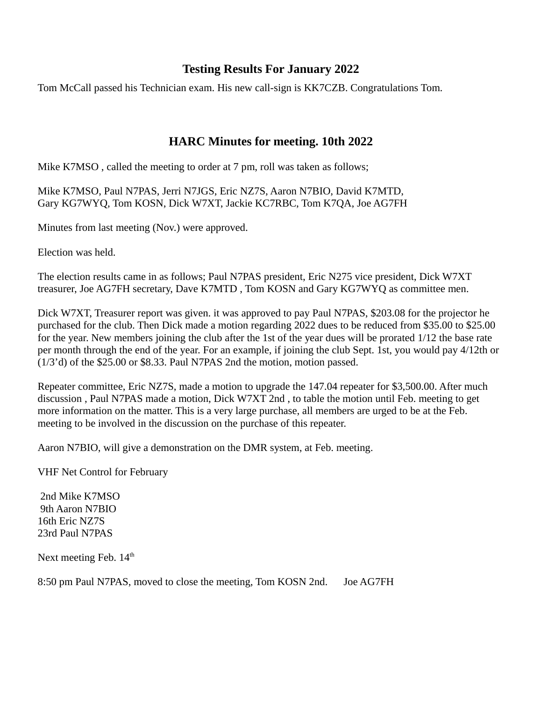#### **Testing Results For January 2022**

Tom McCall passed his Technician exam. His new call-sign is KK7CZB. Congratulations Tom.

#### **HARC Minutes for meeting. 10th 2022**

Mike K7MSO , called the meeting to order at 7 pm, roll was taken as follows;

Mike K7MSO, Paul N7PAS, Jerri N7JGS, Eric NZ7S, Aaron N7BIO, David K7MTD, Gary KG7WYQ, Tom KOSN, Dick W7XT, Jackie KC7RBC, Tom K7QA, Joe AG7FH

Minutes from last meeting (Nov.) were approved.

Election was held.

The election results came in as follows; Paul N7PAS president, Eric N275 vice president, Dick W7XT treasurer, Joe AG7FH secretary, Dave K7MTD , Tom KOSN and Gary KG7WYQ as committee men.

Dick W7XT, Treasurer report was given. it was approved to pay Paul N7PAS, \$203.08 for the projector he purchased for the club. Then Dick made a motion regarding 2022 dues to be reduced from \$35.00 to \$25.00 for the year. New members joining the club after the 1st of the year dues will be prorated 1/12 the base rate per month through the end of the year. For an example, if joining the club Sept. 1st, you would pay 4/12th or (1/3'd) of the \$25.00 or \$8.33. Paul N7PAS 2nd the motion, motion passed.

Repeater committee, Eric NZ7S, made a motion to upgrade the 147.04 repeater for \$3,500.00. After much discussion , Paul N7PAS made a motion, Dick W7XT 2nd , to table the motion until Feb. meeting to get more information on the matter. This is a very large purchase, all members are urged to be at the Feb. meeting to be involved in the discussion on the purchase of this repeater.

Aaron N7BIO, will give a demonstration on the DMR system, at Feb. meeting.

VHF Net Control for February

 2nd Mike K7MSO 9th Aaron N7BIO 16th Eric NZ7S 23rd Paul N7PAS

Next meeting Feb.  $14<sup>th</sup>$ 

8:50 pm Paul N7PAS, moved to close the meeting, Tom KOSN 2nd. Joe AG7FH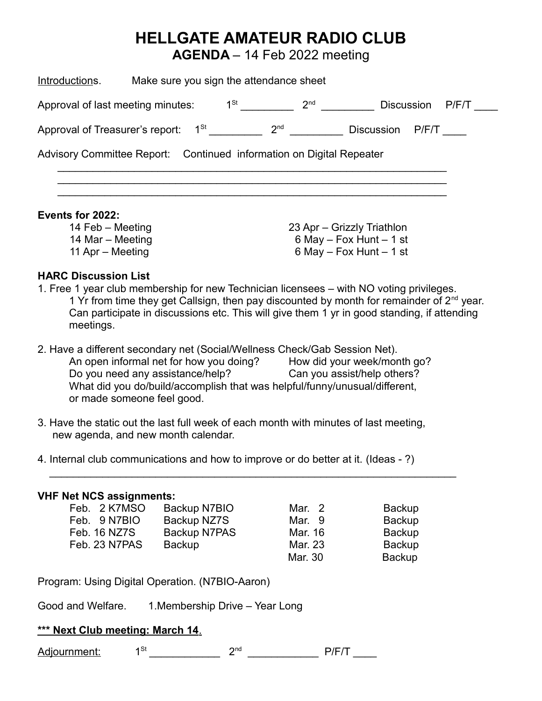## **HELLGATE AMATEUR RADIO CLUB**

**AGENDA** – 14 Feb 2022 meeting

| Make sure you sign the attendance sheet<br>Introductions.                    |                 |                                                                                          |       |  |
|------------------------------------------------------------------------------|-----------------|------------------------------------------------------------------------------------------|-------|--|
| $1^{St}$<br>Approval of last meeting minutes:                                | 2 <sub>nd</sub> | <b>Discussion</b>                                                                        | P/F/T |  |
| $1^{\text{St}}$<br>Approval of Treasurer's report:                           | 2 <sub>nd</sub> | <b>Discussion</b>                                                                        | P/F/T |  |
| Advisory Committee Report: Continued information on Digital Repeater         |                 |                                                                                          |       |  |
| Events for 2022:<br>14 Feb – Meeting<br>14 Mar – Meeting<br>11 Apr – Meeting |                 | 23 Apr – Grizzly Triathlon<br>6 May $-$ Fox Hunt $-$ 1 st<br>6 May $-$ Fox Hunt $-$ 1 st |       |  |

#### **HARC Discussion List**

- 1. Free 1 year club membership for new Technician licensees with NO voting privileges. 1 Yr from time they get Callsign, then pay discounted by month for remainder of  $2<sup>nd</sup>$  year. Can participate in discussions etc. This will give them 1 yr in good standing, if attending meetings.
- 2. Have a different secondary net (Social/Wellness Check/Gab Session Net). An open informal net for how you doing? Do you need any assistance/help? Can you assist/help others? What did you do/build/accomplish that was helpful/funny/unusual/different, or made someone feel good.
- 3. Have the static out the last full week of each month with minutes of last meeting, new agenda, and new month calendar.

4. Internal club communications and how to improve or do better at it. (Ideas - ?)

#### **VHF Net NCS assignments:**

| Feb. 2 K7MSO  | Backup N7BIO | Mar. 2  | Backup        |
|---------------|--------------|---------|---------------|
| Feb. 9 N7BIO  | Backup NZ7S  | Mar. 9  | <b>Backup</b> |
| Feb. 16 NZ7S  | Backup N7PAS | Mar. 16 | <b>Backup</b> |
| Feb. 23 N7PAS | Backup       | Mar. 23 | <b>Backup</b> |
|               |              | Mar. 30 | <b>Backup</b> |

 $\overline{\phantom{a}}$  ,  $\overline{\phantom{a}}$  ,  $\overline{\phantom{a}}$  ,  $\overline{\phantom{a}}$  ,  $\overline{\phantom{a}}$  ,  $\overline{\phantom{a}}$  ,  $\overline{\phantom{a}}$  ,  $\overline{\phantom{a}}$  ,  $\overline{\phantom{a}}$  ,  $\overline{\phantom{a}}$  ,  $\overline{\phantom{a}}$  ,  $\overline{\phantom{a}}$  ,  $\overline{\phantom{a}}$  ,  $\overline{\phantom{a}}$  ,  $\overline{\phantom{a}}$  ,  $\overline{\phantom{a}}$ 

Program: Using Digital Operation. (N7BIO-Aaron)

Good and Welfare. 1.Membership Drive – Year Long

#### **\*\*\* Next Club meeting: March 14**.

 $\mathsf{Adj}$ ournment:  $1^\mathsf{St}$  and  $2^\mathsf{nd}$  and  $\mathsf{P}/\mathsf{F}/\mathsf{T}$